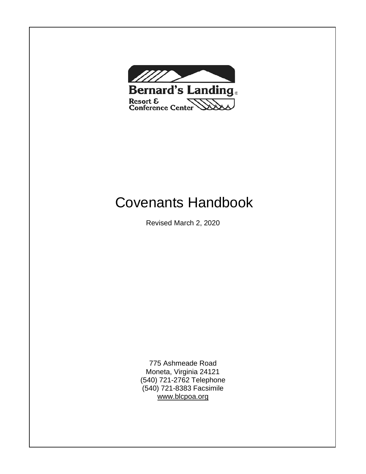

# Covenants Handbook

Revised March 2, 2020

775 Ashmeade Road Moneta, Virginia 24121 (540) 721-2762 Telephone (540) 721-8383 Facsimil[e](http://www.blcpoa.org/) [www.blcpoa.org](http://www.blcpoa.org/)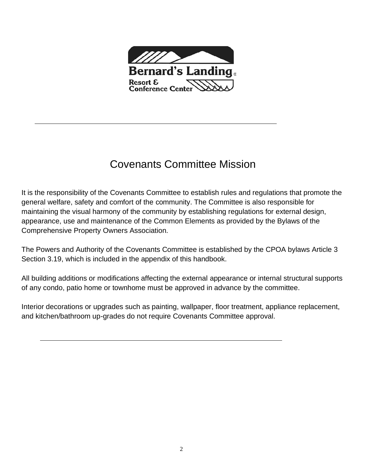

# Covenants Committee Mission

<span id="page-1-0"></span>It is the responsibility of the Covenants Committee to establish rules and regulations that promote the general welfare, safety and comfort of the community. The Committee is also responsible for maintaining the visual harmony of the community by establishing regulations for external design, appearance, use and maintenance of the Common Elements as provided by the Bylaws of the Comprehensive Property Owners Association.

The Powers and Authority of the Covenants Committee is established by the CPOA bylaws Article 3 Section 3.19, which is included in the appendix of this handbook.

All building additions or modifications affecting the external appearance or internal structural supports of any condo, patio home or townhome must be approved in advance by the committee.

Interior decorations or upgrades such as painting, wallpaper, floor treatment, appliance replacement, and kitchen/bathroom up-grades do not require Covenants Committee approval.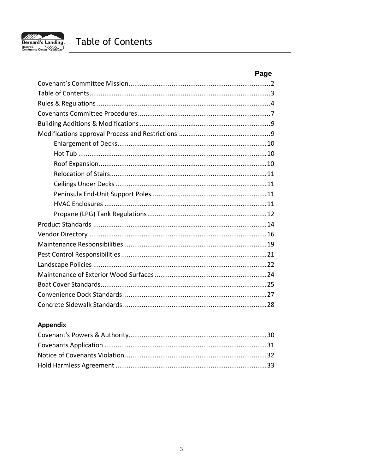<span id="page-2-0"></span>

# Page

# Appendix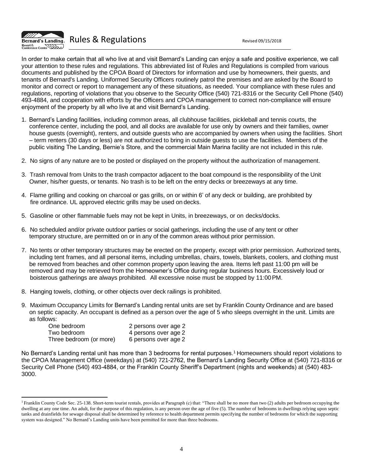

In order to make certain that all who live at and visit Bernard's Landing can enjoy a safe and positive experience, we call your attention to these rules and regulations. This abbreviated list of Rules and Regulations is compiled from various documents and published by the CPOA Board of Directors for information and use by homeowners, their guests, and tenants of Bernard's Landing. Uniformed Security Officers routinely patrol the premises and are asked by the Board to monitor and correct or report to management any of these situations, as needed. Your compliance with these rules and regulations, reporting of violations that you observe to the Security Office (540) 721-8316 or the Security Cell Phone (540) 493-4884, and cooperation with efforts by the Officers and CPOA management to correct non-compliance will ensure enjoyment of the property by all who live at and visit Bernard's Landing.

- 1. Bernard's Landing facilities, including common areas, all clubhouse facilities, pickleball and tennis courts, the conference center, including the pool, and all docks are available for use only by owners and their families, owner house guests (overnight), renters, and outside guests who are accompanied by owners when using the facilities. Short – term renters (30 days or less) are not authorized to bring in outside guests to use the facilities. Members of the public visiting The Landing, Bernie's Store, and the commercial Main Marina facility are not included in this rule.
- 2. No signs of any nature are to be posted or displayed on the property without the authorization of management.
- 3. Trash removal from Units to the trash compactor adjacent to the boat compound is the responsibility of the Unit Owner, his/her guests, or tenants. No trash is to be left on the entry decks or breezeways at any time.
- 4. Flame grilling and cooking on charcoal or gas grills, on or within 6' of any deck or building, are prohibited by fire ordinance. UL approved electric grills may be used on decks.
- 5. Gasoline or other flammable fuels may not be kept in Units, in breezeways, or on decks/docks.
- 6. No scheduled and/or private outdoor parties or social gatherings, including the use of any tent or other temporary structure, are permitted on or in any of the common areas without prior permission.
- 7. No tents or other temporary structures may be erected on the property, except with prior permission. Authorized tents, including tent frames, and all personal items, including umbrellas, chairs, towels, blankets, coolers, and clothing must be removed from beaches and other common property upon leaving the area. Items left past 11:00 pm will be removed and may be retrieved from the Homeowner's Office during regular business hours. Excessively loud or boisterous gatherings are always prohibited. All excessive noise must be stopped by 11:00PM.
- 8. Hanging towels, clothing, or other objects over deck railings is prohibited.
- 9. Maximum Occupancy Limits for Bernard's Landing rental units are set by Franklin County Ordinance and are based on septic capacity. An occupant is defined as a person over the age of 5 who sleeps overnight in the unit. Limits are as follows:

| One bedroom             | 2 persons over age 2 |
|-------------------------|----------------------|
| Two bedroom             | 4 persons over age 2 |
| Three bedroom (or more) | 6 persons over age 2 |

No Bernard's Landing rental unit has more than 3 bedrooms for rental purposes.<sup>1</sup> Homeowners should report violations to the CPOA Management Office (weekdays) at (540) 721-2762, the Bernard's Landing Security Office at (540) 721-8316 or Security Cell Phone (540) 493-4884, or the Franklin County Sheriff's Department (nights and weekends) at (540) 483- 3000.

<sup>&</sup>lt;sup>1</sup> Franklin County Code Sec. 25-138. Short-term tourist rentals, provides at Paragraph (c) that: "There shall be no more than two (2) adults per bedroom occupying the dwelling at any one time. An adult, for the purpose of this regulation, is any person over the age of five (5). The number of bedrooms in dwellings relying upon septic tanks and drainfields for sewage disposal shall be determined by reference to health department permits specifying the number of bedrooms for which the supporting system was designed." No Bernard's Landing units have been permitted for more than three bedrooms.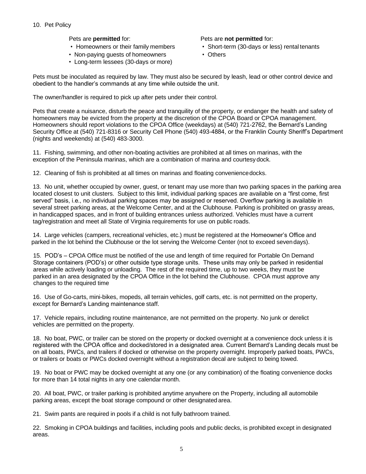Pets are **permitted** for:

- Homeowners or their family members
- Non-paying guests of homeowners
- Long-term lessees (30-days or more)

Pets are **not permitted** for:

- Short-term (30-days or less) rental tenants
- Others

Pets must be inoculated as required by law. They must also be secured by leash, lead or other control device and obedient to the handler's commands at any time while outside the unit.

The owner/handler is required to pick up after pets under their control.

Pets that create a nuisance, disturb the peace and tranquility of the property, or endanger the health and safety of homeowners may be evicted from the property at the discretion of the CPOA Board or CPOA management. Homeowners should report violations to the CPOA Office (weekdays) at (540) 721-2762, the Bernard's Landing Security Office at (540) 721-8316 or Security Cell Phone (540) 493-4884, or the Franklin County Sheriff's Department (nights and weekends) at (540) 483-3000.

11. Fishing, swimming, and other non-boating activities are prohibited at all times on marinas, with the exception of the Peninsula marinas, which are a combination of marina and courtesydock.

12. Cleaning of fish is prohibited at all times on marinas and floating conveniencedocks.

13. No unit, whether occupied by owner, guest, or tenant may use more than two parking spaces in the parking area located closest to unit clusters. Subject to this limit, individual parking spaces are available on a "first come, first served" basis, i.e., no individual parking spaces may be assigned or reserved. Overflow parking is available in several street parking areas, at the Welcome Center, and at the Clubhouse. Parking is prohibited on grassy areas, in handicapped spaces, and in front of building entrances unless authorized. Vehicles must have a current tag/registration and meet all State of Virginia requirements for use on public roads.

14. Large vehicles (campers, recreational vehicles, etc.) must be registered at the Homeowner's Office and parked in the lot behind the Clubhouse or the lot serving the Welcome Center (not to exceed sevendays).

15. POD's – CPOA Office must be notified of the use and length of time required for Portable On Demand Storage containers (POD's) or other outside type storage units. These units may only be parked in residential areas while actively loading or unloading. The rest of the required time, up to two weeks, they must be parked in an area designated by the CPOA Office in the lot behind the Clubhouse. CPOA must approve any changes to the required time

16. Use of Go-carts, mini-bikes, mopeds, all terrain vehicles, golf carts, etc. is not permitted on the property, except for Bernard's Landing maintenance staff.

17. Vehicle repairs, including routine maintenance, are not permitted on the property. No junk or derelict vehicles are permitted on the property.

18. No boat, PWC, or trailer can be stored on the property or docked overnight at a convenience dock unless it is registered with the CPOA office and docked/stored in a designated area. Current Bernard's Landing decals must be on all boats, PWCs, and trailers if docked or otherwise on the property overnight. Improperly parked boats, PWCs, or trailers or boats or PWCs docked overnight without a registration decal are subject to being towed.

19. No boat or PWC may be docked overnight at any one (or any combination) of the floating convenience docks for more than 14 total nights in any one calendar month.

20. All boat, PWC, or trailer parking is prohibited anytime anywhere on the Property, including all automobile parking areas, except the boat storage compound or other designated area.

21. Swim pants are required in pools if a child is not fully bathroom trained.

22. Smoking in CPOA buildings and facilities, including pools and public decks, is prohibited except in designated areas.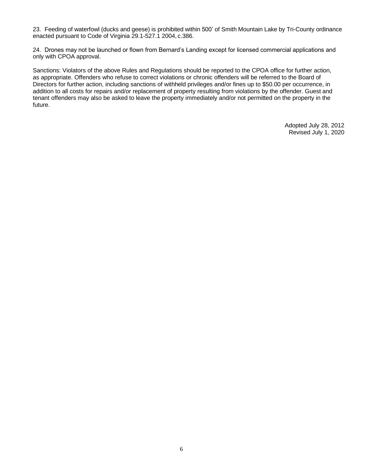23. Feeding of waterfowl (ducks and geese) is prohibited within 500' of Smith Mountain Lake by Tri-County ordinance enacted pursuant to Code of Virginia 29.1-527.1 2004, c.386.

24. Drones may not be launched or flown from Bernard's Landing except for licensed commercial applications and only with CPOA approval.

Sanctions: Violators of the above Rules and Regulations should be reported to the CPOA office for further action, as appropriate. Offenders who refuse to correct violations or chronic offenders will be referred to the Board of Directors for further action, including sanctions of withheld privileges and/or fines up to \$50.00 per occurrence, in addition to all costs for repairs and/or replacement of property resulting from violations by the offender. Guest and tenant offenders may also be asked to leave the property immediately and/or not permitted on the property in the future.

> Adopted July 28, 2012 Revised July 1, 2020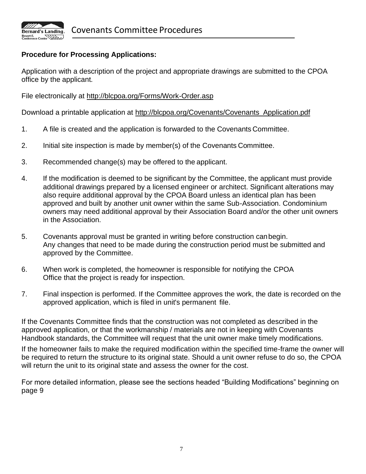<span id="page-6-0"></span>

# **Procedure for Processing Applications:**

Application with a description of the project and appropriate drawings are submitted to the CPOA office by the applicant.

File electronically at<http://blcpoa.org/Forms/Work-Order.asp>

Download a printable application at [http://blcpoa.org/Covenants/Covenants\\_Application.pdf](http://blcpoa.org/Covenants/Covenants_Application.pdf)

- 1. A file is created and the application is forwarded to the Covenants Committee.
- 2. Initial site inspection is made by member(s) of the Covenants Committee.
- 3. Recommended change(s) may be offered to the applicant.
- 4. If the modification is deemed to be significant by the Committee, the applicant must provide additional drawings prepared by a licensed engineer or architect. Significant alterations may also require additional approval by the CPOA Board unless an identical plan has been approved and built by another unit owner within the same Sub-Association. Condominium owners may need additional approval by their Association Board and/or the other unit owners in the Association.
- 5. Covenants approval must be granted in writing before construction canbegin. Any changes that need to be made during the construction period must be submitted and approved by the Committee.
- 6. When work is completed, the homeowner is responsible for notifying the CPOA Office that the project is ready for inspection.
- 7. Final inspection is performed. If the Committee approves the work, the date is recorded on the approved application, which is filed in unit's permanent file.

If the Covenants Committee finds that the construction was not completed as described in the approved application, or that the workmanship / materials are not in keeping with Covenants Handbook standards, the Committee will request that the unit owner make timely modifications.

If the homeowner fails to make the required modification within the specified time-frame the owner will be required to return the structure to its original state. Should a unit owner refuse to do so, the CPOA will return the unit to its original state and assess the owner for the cost.

For more detailed information, please see the sections headed "Building Modifications" beginning on page 9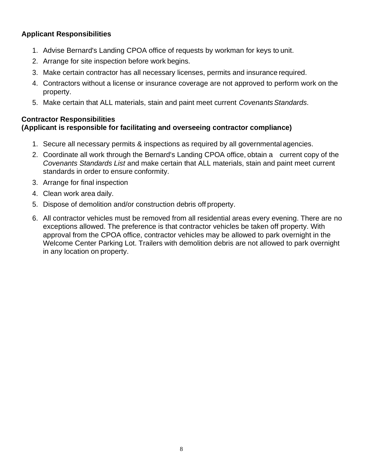# **Applicant Responsibilities**

- 1. Advise Bernard's Landing CPOA office of requests by workman for keys to unit.
- 2. Arrange for site inspection before work begins.
- 3. Make certain contractor has all necessary licenses, permits and insurance required.
- 4. Contractors without a license or insurance coverage are not approved to perform work on the property.
- 5. Make certain that ALL materials, stain and paint meet current *CovenantsStandards*.

### **Contractor Responsibilities (Applicant is responsible for facilitating and overseeing contractor compliance)**

- 1. Secure all necessary permits & inspections as required by all governmentalagencies.
- 2. Coordinate all work through the Bernard's Landing CPOA office, obtain a current copy of the *Covenants Standards List* and make certain that ALL materials, stain and paint meet current standards in order to ensure conformity.
- 3. Arrange for final inspection
- 4. Clean work area daily.
- 5. Dispose of demolition and/or construction debris off property.
- 6. All contractor vehicles must be removed from all residential areas every evening. There are no exceptions allowed. The preference is that contractor vehicles be taken off property. With approval from the CPOA office, contractor vehicles may be allowed to park overnight in the Welcome Center Parking Lot. Trailers with demolition debris are not allowed to park overnight in any location on property.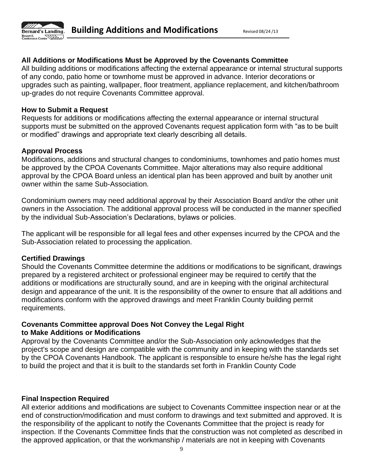

## **All Additions or Modifications Must be Approved by the Covenants Committee**

All building additions or modifications affecting the external appearance or internal structural supports of any condo, patio home or townhome must be approved in advance. Interior decorations or upgrades such as painting, wallpaper, floor treatment, appliance replacement, and kitchen/bathroom up-grades do not require Covenants Committee approval.

#### **How to Submit a Request**

Requests for additions or modifications affecting the external appearance or internal structural supports must be submitted on the approved Covenants request application form with "as to be built or modified" drawings and appropriate text clearly describing all details.

#### **Approval Process**

Modifications, additions and structural changes to condominiums, townhomes and patio homes must be approved by the CPOA Covenants Committee. Major alterations may also require additional approval by the CPOA Board unless an identical plan has been approved and built by another unit owner within the same Sub-Association.

Condominium owners may need additional approval by their Association Board and/or the other unit owners in the Association. The additional approval process will be conducted in the manner specified by the individual Sub-Association's Declarations, bylaws or policies.

The applicant will be responsible for all legal fees and other expenses incurred by the CPOA and the Sub-Association related to processing the application.

#### **Certified Drawings**

Should the Covenants Committee determine the additions or modifications to be significant, drawings prepared by a registered architect or professional engineer may be required to certify that the additions or modifications are structurally sound, and are in keeping with the original architectural design and appearance of the unit. It is the responsibility of the owner to ensure that all additions and modifications conform with the approved drawings and meet Franklin County building permit requirements.

#### **Covenants Committee approval Does Not Convey the Legal Right to Make Additions or Modifications**

Approval by the Covenants Committee and/or the Sub-Association only acknowledges that the project's scope and design are compatible with the community and in keeping with the standards set by the CPOA Covenants Handbook. The applicant is responsible to ensure he/she has the legal right to build the project and that it is built to the standards set forth in Franklin County Code

# **Final Inspection Required**

All exterior additions and modifications are subject to Covenants Committee inspection near or at the end of construction/modification and must conform to drawings and text submitted and approved. It is the responsibility of the applicant to notify the Covenants Committee that the project is ready for inspection. If the Covenants Committee finds that the construction was not completed as described in the approved application, or that the workmanship / materials are not in keeping with Covenants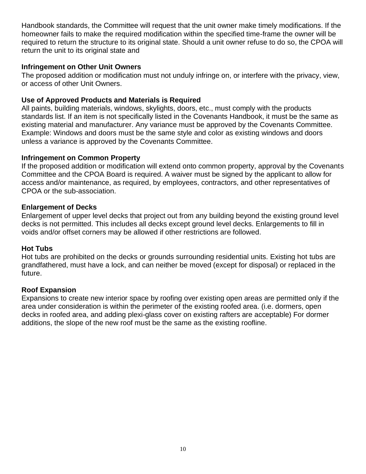Handbook standards, the Committee will request that the unit owner make timely modifications. If the homeowner fails to make the required modification within the specified time-frame the owner will be required to return the structure to its original state. Should a unit owner refuse to do so, the CPOA will return the unit to its original state and

### **Infringement on Other Unit Owners**

The proposed addition or modification must not unduly infringe on, or interfere with the privacy, view, or access of other Unit Owners.

# **Use of Approved Products and Materials is Required**

All paints, building materials, windows, skylights, doors, etc., must comply with the products standards list. If an item is not specifically listed in the Covenants Handbook, it must be the same as existing material and manufacturer. Any variance must be approved by the Covenants Committee. Example: Windows and doors must be the same style and color as existing windows and doors unless a variance is approved by the Covenants Committee.

#### **Infringement on Common Property**

If the proposed addition or modification will extend onto common property, approval by the Covenants Committee and the CPOA Board is required. A waiver must be signed by the applicant to allow for access and/or maintenance, as required, by employees, contractors, and other representatives of CPOA or the sub-association.

#### <span id="page-9-0"></span>**Enlargement of Decks**

Enlargement of upper level decks that project out from any building beyond the existing ground level decks is not permitted. This includes all decks except ground level decks. Enlargements to fill in voids and/or offset corners may be allowed if other restrictions are followed.

#### **Hot Tubs**

Hot tubs are prohibited on the decks or grounds surrounding residential units. Existing hot tubs are grandfathered, must have a lock, and can neither be moved (except for disposal) or replaced in the future.

#### <span id="page-9-1"></span>**Roof Expansion**

Expansions to create new interior space by roofing over existing open areas are permitted only if the area under consideration is within the perimeter of the existing roofed area. (i.e. dormers, open decks in roofed area, and adding plexi-glass cover on existing rafters are acceptable) For dormer additions, the slope of the new roof must be the same as the existing roofline.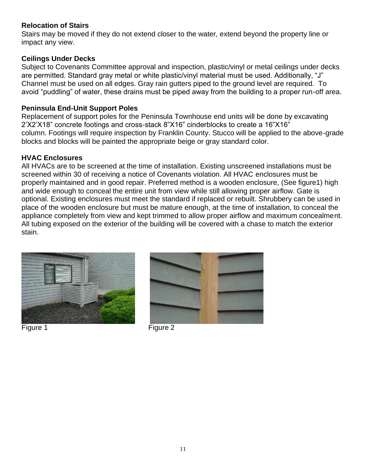# <span id="page-10-0"></span>**Relocation of Stairs**

Stairs may be moved if they do not extend closer to the water, extend beyond the property line or impact any view.

# <span id="page-10-1"></span>**Ceilings Under Decks**

Subject to Covenants Committee approval and inspection, plastic/vinyl or metal ceilings under decks are permitted. Standard gray metal or white plastic/vinyl material must be used. Additionally, "J" Channel must be used on all edges. Gray rain gutters piped to the ground level are required. To avoid "puddling" of water, these drains must be piped away from the building to a proper run-off area.

# <span id="page-10-2"></span>**Peninsula End-Unit Support Poles**

Replacement of support poles for the Peninsula Townhouse end units will be done by excavating 2'X2'X18" concrete footings and cross-stack 8"X16" cinderblocks to create a 16"X16" column. Footings will require inspection by Franklin County. Stucco will be applied to the above-grade blocks and blocks will be painted the appropriate beige or gray standard color.

# <span id="page-10-3"></span>**HVAC Enclosures**

All HVACs are to be screened at the time of installation. Existing unscreened installations must be screened within 30 of receiving a notice of Covenants violation. All HVAC enclosures must be properly maintained and in good repair. Preferred method is a wooden enclosure, (See figure1) high and wide enough to conceal the entire unit from view while still allowing proper airflow. Gate is optional. Existing enclosures must meet the standard if replaced or rebuilt. Shrubbery can be used in place of the wooden enclosure but must be mature enough, at the time of installation, to conceal the appliance completely from view and kept trimmed to allow proper airflow and maximum concealment. All tubing exposed on the exterior of the building will be covered with a chase to match the exterior stain.





Figure 1 Figure 2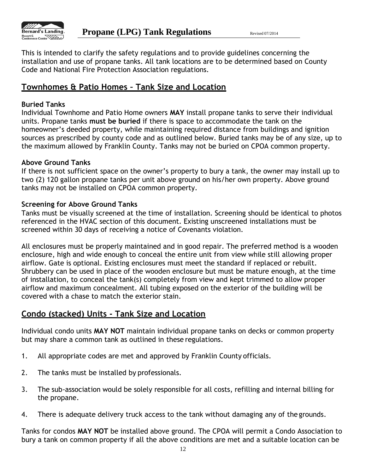

This is intended to clarify the safety regulations and to provide guidelines concerning the installation and use of propane tanks. All tank locations are to be determined based on County Code and National Fire Protection Association regulations.

# **Townhomes & Patio Homes – Tank Size and Location**

# **Buried Tanks**

Individual Townhome and Patio Home owners **MAY** install propane tanks to serve their individual units. Propane tanks **must be buried** if there is space to accommodate the tank on the homeowner's deeded property, while maintaining required distance from buildings and ignition sources as prescribed by county code and as outlined below. Buried tanks may be of any size, up to the maximum allowed by Franklin County. Tanks may not be buried on CPOA common property.

# **Above Ground Tanks**

If there is not sufficient space on the owner's property to bury a tank, the owner may install up to two (2) 120 gallon propane tanks per unit above ground on his/her own property. Above ground tanks may not be installed on CPOA common property.

# **Screening for Above Ground Tanks**

Tanks must be visually screened at the time of installation. Screening should be identical to photos referenced in the HVAC section of this document. Existing unscreened installations must be screened within 30 days of receiving a notice of Covenants violation.

All enclosures must be properly maintained and in good repair. The preferred method is a wooden enclosure, high and wide enough to conceal the entire unit from view while still allowing proper airflow. Gate is optional. Existing enclosures must meet the standard if replaced or rebuilt. Shrubbery can be used in place of the wooden enclosure but must be mature enough, at the time of installation, to conceal the tank(s) completely from view and kept trimmed to allow proper airflow and maximum concealment. All tubing exposed on the exterior of the building will be covered with a chase to match the exterior stain.

# **Condo (stacked) Units - Tank Size and Location**

Individual condo units **MAY NOT** maintain individual propane tanks on decks or common property but may share a common tank as outlined in these regulations.

- 1. All appropriate codes are met and approved by Franklin County officials.
- 2. The tanks must be installed by professionals.
- 3. The sub-association would be solely responsible for all costs, refilling and internal billing for the propane.
- 4. There is adequate delivery truck access to the tank without damaging any of the grounds.

Tanks for condos **MAY NOT** be installed above ground. The CPOA will permit a Condo Association to bury a tank on common property if all the above conditions are met and a suitable location can be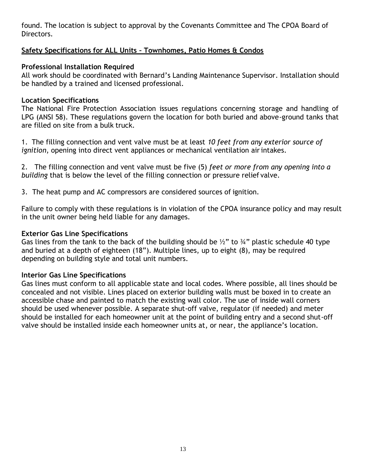found. The location is subject to approval by the Covenants Committee and The CPOA Board of Directors.

# **Safety Specifications for ALL Units – Townhomes, Patio Homes & Condos**

# **Professional Installation Required**

All work should be coordinated with Bernard's Landing Maintenance Supervisor. Installation should be handled by a trained and licensed professional.

# **Location Specifications**

The National Fire Protection Association issues regulations concerning storage and handling of LPG (ANSI 58). These regulations govern the location for both buried and above-ground tanks that are filled on site from a bulk truck.

1. The filling connection and vent valve must be at least *10 feet from any exterior source of ignition*, opening into direct vent appliances or mechanical ventilation air intakes.

2. The filling connection and vent valve must be five (5) *feet or more from any opening into a building* that is below the level of the filling connection or pressure relief valve.

3. The heat pump and AC compressors are considered sources of ignition.

Failure to comply with these regulations is in violation of the CPOA insurance policy and may result in the unit owner being held liable for any damages.

# **Exterior Gas Line Specifications**

Gas lines from the tank to the back of the building should be  $\frac{1}{2}$ " to  $\frac{3}{4}$ " plastic schedule 40 type and buried at a depth of eighteen (18"). Multiple lines, up to eight (8), may be required depending on building style and total unit numbers.

# **Interior Gas Line Specifications**

Gas lines must conform to all applicable state and local codes. Where possible, all lines should be concealed and not visible. Lines placed on exterior building walls must be boxed in to create an accessible chase and painted to match the existing wall color. The use of inside wall corners should be used whenever possible. A separate shut-off valve, regulator (if needed) and meter should be installed for each homeowner unit at the point of building entry and a second shut-off valve should be installed inside each homeowner units at, or near, the appliance's location.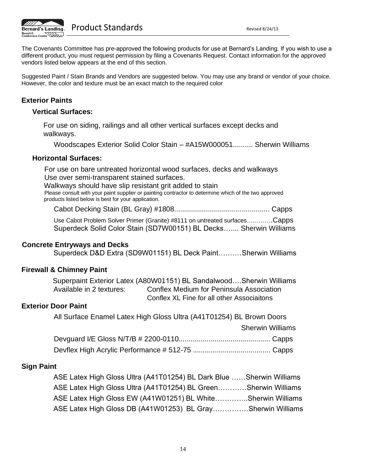

The Covenants Committee has pre-approved the following products for use at Bernard's Landing. If you wish to use a different product, you must request permission by filing a Covenants Request. Contact information for the approved vendors listed below appears at the end of this section.

Suggested Paint / Stain Brands and Vendors are suggested below. You may use any brand or vendor of your choice. However, the color and texture must be an exact match to the required color

#### **Exterior Paints**

Resort &  $\overline{\text{Center}}$ 

#### **Vertical Surfaces:**

For use on siding, railings and all other vertical surfaces except decks and walkways.

Woodscapes Exterior Solid Color Stain – #A15W000051.......... Sherwin Williams

#### **Horizontal Surfaces:**

For use on bare untreated horizontal wood surfaces, decks and walkways Use over semi-transparent stained surfaces.

Walkways should have slip resistant grit added to stain

Please consult with your paint supplier or painting contractor to determine which of the two approved products listed below is best for your application.

Cabot Decking Stain (BL Gray) #1808................................................ Capps

Use Cabot Problem Solver Primer (Granite) #8111 on untreated surfaces………….Capps Superdeck Solid Color Stain (SD7W00151) BL Decks….... Sherwin Williams

#### **Concrete Entryways and Decks**

Superdeck D&D Extra (SD9W01151) BL Deck Paint….……Sherwin Williams

#### **Firewall & Chimney Paint**

 Superpaint Exterior Latex (A80W01151) BL Sandalwood….Sherwin Williams Available in 2 textures: Conflex Medium for Peninsula Association Conflex XL Fine for all other Associaitons

#### **Exterior Door Paint**

| All Surface Enamel Latex High Gloss Ultra (A41T01254) BL Brown Doors |  |
|----------------------------------------------------------------------|--|
| <b>Sherwin Williams</b>                                              |  |
|                                                                      |  |
|                                                                      |  |

#### **Sign Paint**

 ASE Latex High Gloss Ultra (A41T01254) BL Dark Blue ……Sherwin Williams ASE Latex High Gloss Ultra (A41T01254) BL Green…………Sherwin Williams ASE Latex High Gloss EW (A41W01251) BL White…………..Sherwin Williams ASE Latex High Gloss DB (A41W01253) BL Gray……………Sherwin Williams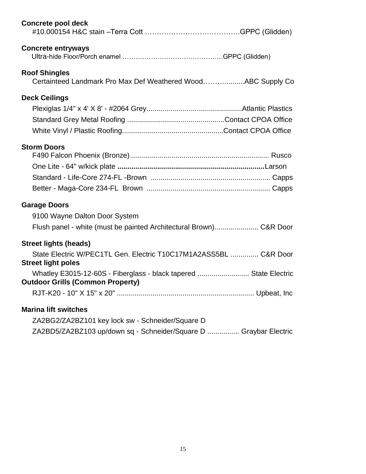| <b>Concrete pool deck</b>                                                                                    |
|--------------------------------------------------------------------------------------------------------------|
| <b>Concrete entryways</b>                                                                                    |
| <b>Roof Shingles</b><br>Certainteed Landmark Pro Max Def Weathered WoodABC Supply Co                         |
| <b>Deck Ceilings</b>                                                                                         |
|                                                                                                              |
|                                                                                                              |
|                                                                                                              |
| <b>Storm Doors</b>                                                                                           |
| <b>Garage Doors</b>                                                                                          |
| 9100 Wayne Dalton Door System                                                                                |
| Flush panel - white (must be painted Architectural Brown) C&R Door                                           |
| <b>Street lights (heads)</b>                                                                                 |
| State Electric W/PEC1TL Gen. Electric T10C17M1A2ASS5BL  C&R Door<br><b>Street light poles</b>                |
| Whatley E3015-12-60S - Fiberglass - black tapered  State Electric<br><b>Outdoor Grills (Common Property)</b> |
|                                                                                                              |
| <b>Marina lift switches</b>                                                                                  |
| ZA2BG2/ZA2BZ101 key lock sw - Schneider/Square D                                                             |
| ZA2BD5/ZA2BZ103 up/down sq - Schneider/Square D  Graybar Electric                                            |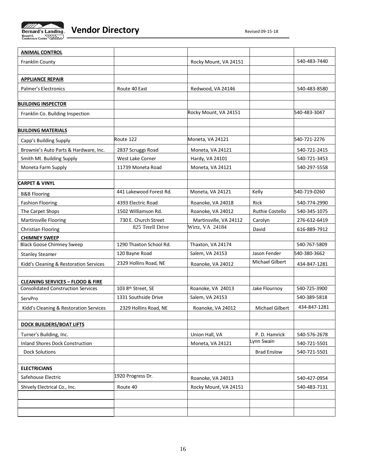

| <b>ANIMAL CONTROL</b>                       |                         |                        |                        |              |
|---------------------------------------------|-------------------------|------------------------|------------------------|--------------|
| Franklin County                             |                         | Rocky Mount, VA 24151  |                        | 540-483-7440 |
|                                             |                         |                        |                        |              |
| <b>APPLIANCE REPAIR</b>                     |                         |                        |                        |              |
| Palmer's Electronics                        | Route 40 East           | Redwood, VA 24146      |                        | 540-483-8580 |
|                                             |                         |                        |                        |              |
| <b>BUILDING INSPECTOR</b>                   |                         |                        |                        |              |
| Franklin Co. Building Inspection            |                         | Rocky Mount, VA 24151  |                        | 540-483-3047 |
|                                             |                         |                        |                        |              |
| <b>BUILDING MATERIALS</b>                   |                         |                        |                        |              |
| Capp's Building Supply                      | Route 122               | Moneta, VA 24121       |                        | 540-721-2276 |
| Brownie's Auto Parts & Hardware, Inc.       | 2837 Scruggs Road       | Moneta, VA 24121       |                        | 540-721-2415 |
| Smith Mt. Building Supply                   | West Lake Corner        | Hardy, VA 24101        |                        | 540-721-3453 |
| Moneta Farm Supply                          | 11739 Moneta Road       | Moneta, VA 24121       |                        | 540-297-5558 |
|                                             |                         |                        |                        |              |
| <b>CARPET &amp; VINYL</b>                   |                         |                        |                        |              |
| <b>B&amp;B Flooring</b>                     | 441 Lakewood Forest Rd. | Moneta, VA 24121       | Kelly                  | 540-719-0260 |
| <b>Fashion Flooring</b>                     | 4393 Electric Road      | Roanoke, VA 24018      | Rick                   | 540-774-2990 |
| The Carpet Shops                            | 1502 Williamson Rd.     | Roanoke, VA 24012      | <b>Ruthie Costello</b> | 540-345-1075 |
| <b>Martinsville Flooring</b>                | 730 E. Church Street    | Martinsville, VA 24112 | Carolyn                | 276-632-6419 |
| Christian Flooring                          | 825 Terell Drive        | Wirtz, VA 24184        | David                  | 616-889-7912 |
| <b>CHIMNEY SWEEP</b>                        |                         |                        |                        |              |
| <b>Black Goose Chimney Sweep</b>            | 1290 Thaxton School Rd. | Thaxton, VA 24174      |                        | 540-767-5809 |
| <b>Stanley Steamer</b>                      | 120 Bayne Road          | Salem, VA 24153        | Jason Fender           | 540-380-3662 |
| Kidd's Cleaning & Restoration Services      | 2329 Hollins Road, NE   | Roanoke, VA 24012      | Michael Gilbert        | 434-847-1281 |
|                                             |                         |                        |                        |              |
| <b>CLEANING SERVICES - FLOOD &amp; FIRE</b> |                         |                        |                        |              |
| <b>Consolidated Construction Services</b>   | 103 8th Street, SE      | Roanoke, VA 24013      | Jake Flournoy          | 540-725-3900 |
| ServPro                                     | 1331 Southside Drive    | Salem, VA 24153        |                        | 540-389-5818 |
| Kidd's Cleaning & Restoration Services      | 2329 Hollins Road, NE   | Roanoke, VA 24012      | Michael Gilbert        | 434-847-1281 |
|                                             |                         |                        |                        |              |
| <b>DOCK BUILDERS/BOAT LIFTS</b>             |                         |                        |                        |              |
| Turner's Building, Inc.                     |                         | Union Hall, VA         | P.D. Hamrick           | 540-576-2678 |
| <b>Inland Shores Dock Construction</b>      |                         | Moneta, VA 24121       | Lynn Swain             | 540-721-5501 |
| <b>Dock Solutions</b>                       |                         |                        | <b>Brad Enslow</b>     | 540-721-5501 |
|                                             |                         |                        |                        |              |
| <b>ELECTRICIANS</b>                         |                         |                        |                        |              |
| Safehouse Electric                          | 1920 Progress Dr.       | Roanoke, VA 24013      |                        | 540-427-0954 |
| Shively Electrical Co., Inc.                | Route 40                | Rocky Mount, VA 24151  |                        | 540-483-7131 |
|                                             |                         |                        |                        |              |
|                                             |                         |                        |                        |              |
|                                             |                         |                        |                        |              |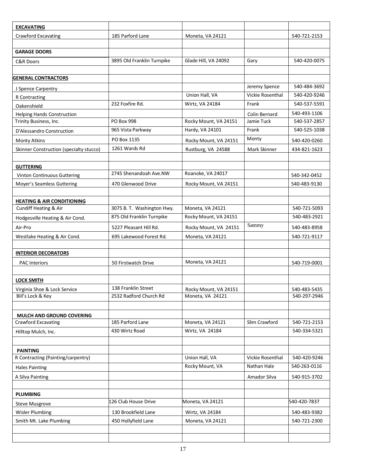| <b>EXCAVATING</b>                       |                            |                       |                         |              |
|-----------------------------------------|----------------------------|-----------------------|-------------------------|--------------|
| Crawford Excavating                     | 185 Parford Lane           | Moneta, VA 24121      |                         | 540-721-2153 |
|                                         |                            |                       |                         |              |
| <b>GARAGE DOORS</b>                     |                            |                       |                         |              |
| <b>C&amp;R Doors</b>                    | 3895 Old Franklin Turnpike | Glade Hill, VA 24092  | Gary                    | 540-420-0075 |
|                                         |                            |                       |                         |              |
| <b>GENERAL CONTRACTORS</b>              |                            |                       |                         |              |
| J Spence Carpentry                      |                            |                       | Jeremy Spence           | 540-484-3692 |
| R Contracting                           |                            | Union Hall, VA        | Vickie Rosenthal        | 540-420-9246 |
| Oakenshield                             | 232 Foxfire Rd.            | Wirtz, VA 24184       | Frank                   | 540-537-5591 |
| <b>Helping Hands Construction</b>       |                            |                       | Colin Bernard           | 540-493-1106 |
| Trinity Business, Inc.                  | PO Box 998                 | Rocky Mount, VA 24151 | Jamie Tuck              | 540-537-2857 |
| D'Alessandro Construction               | 965 Vista Parkway          | Hardy, VA 24101       | Frank                   | 540-525-1038 |
| <b>Monty Atkins</b>                     | PO Box 1135                | Rocky Mount, VA 24151 | Monty                   | 540-420-0260 |
| Skinner Construction (specialty stucco) | 1261 Wards Rd              | Rustburg, VA 24588    | Mark Skinner            | 434-821-1623 |
|                                         |                            |                       |                         |              |
| <b>GUTTERING</b>                        |                            |                       |                         |              |
| Vinton Continuous Guttering             | 2745 Shenandoah Ave.NW     | Roanoke, VA 24017     |                         | 540-342-0452 |
| Moyer's Seamless Guttering              | 470 Glenwood Drive         | Rocky Mount, VA 24151 |                         | 540-483-9130 |
|                                         |                            |                       |                         |              |
| <b>HEATING &amp; AIR CONDITIONING</b>   |                            |                       |                         |              |
| Cundiff Heating & Air                   | 3075 B. T. Washington Hwy. | Moneta, VA 24121      |                         | 540-721-5093 |
| Hodgesville Heating & Air Cond.         | 875 Old Franklin Turnpike  | Rocky Mount, VA 24151 |                         | 540-483-2921 |
| Air-Pro                                 | 5227 Pleasant Hill Rd.     | Rocky Mount, VA 24151 | Sammy                   | 540-483-8958 |
| Westlake Heating & Air Cond.            | 695 Lakewood Forest Rd.    | Moneta, VA 24121      |                         | 540-721-9117 |
|                                         |                            |                       |                         |              |
| <b>INTERIOR DECORATORS</b>              |                            |                       |                         |              |
| <b>PAC Interiors</b>                    | 50 Firstwatch Drive        | Moneta, VA 24121      |                         | 540-719-0001 |
|                                         |                            |                       |                         |              |
| <b>LOCK SMITH</b>                       |                            |                       |                         |              |
| Virginia Shoe & Lock Service            | 138 Franklin Street        | Rocky Mount, VA 24151 |                         | 540-483-5435 |
| Bill's Lock & Key                       | 2532 Radford Church Rd     | Moneta, VA 24121      |                         | 540-297-2946 |
|                                         |                            |                       |                         |              |
| MULCH AND GROUND COVERING               |                            |                       |                         |              |
| <b>Crawford Excavating</b>              | 185 Parford Lane           | Moneta, VA 24121      | Slim Crawford           | 540-721-2153 |
| Hilltop Mulch, Inc.                     | 430 Wirtz Road             | Wirtz, VA 24184       |                         | 540-334-5321 |
|                                         |                            |                       |                         |              |
| <b>PAINTING</b>                         |                            |                       |                         |              |
| R Contracting (Painting/carpentry)      |                            | Union Hall, VA        | <b>Vickie Rosenthal</b> | 540-420-9246 |
| <b>Hales Painting</b>                   |                            | Rocky Mount, VA       | Nathan Hale             | 540-263-0116 |
| A Silva Painting                        |                            |                       | Amador Silva            | 540-915-3702 |
|                                         |                            |                       |                         |              |
| <b>PLUMBING</b>                         |                            |                       |                         |              |
| <b>Steve Musgrove</b>                   | 126 Club House Drive       | Moneta, VA 24121      |                         | 540-420-7837 |
| <b>Wisler Plumbing</b>                  | 130 Brookfield Lane        | Wirtz, VA 24184       |                         | 540-483-9382 |
| Smith Mt. Lake Plumbing                 | 450 Hollyfield Lane        | Moneta, VA 24121      |                         | 540-721-2300 |
|                                         |                            |                       |                         |              |
|                                         |                            |                       |                         |              |
|                                         |                            |                       |                         |              |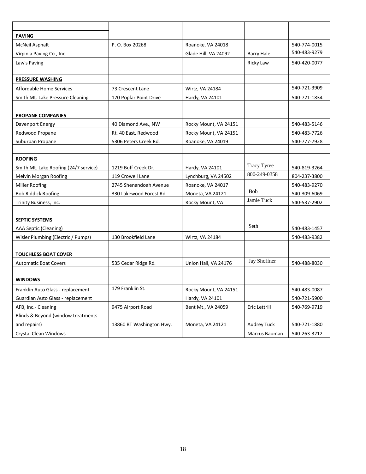| <b>PAVING</b>                         |                          |                       |                   |              |
|---------------------------------------|--------------------------|-----------------------|-------------------|--------------|
| McNeil Asphalt                        | P. O. Box 20268          | Roanoke, VA 24018     |                   | 540-774-0015 |
| Virginia Paving Co., Inc.             |                          | Glade Hill, VA 24092  | <b>Barry Hale</b> | 540-483-9279 |
| Law's Paving                          |                          |                       | <b>Ricky Law</b>  | 540-420-0077 |
|                                       |                          |                       |                   |              |
| PRESSURE WASHING                      |                          |                       |                   |              |
| Affordable Home Services              | 73 Crescent Lane         | Wirtz, VA 24184       |                   | 540-721-3909 |
| Smith Mt. Lake Pressure Cleaning      | 170 Poplar Point Drive   | Hardy, VA 24101       |                   | 540-721-1834 |
|                                       |                          |                       |                   |              |
| <b>PROPANE COMPANIES</b>              |                          |                       |                   |              |
| Davenport Energy                      | 40 Diamond Ave., NW      | Rocky Mount, VA 24151 |                   | 540-483-5146 |
| Redwood Propane                       | Rt. 40 East, Redwood     | Rocky Mount, VA 24151 |                   | 540-483-7726 |
| Suburban Propane                      | 5306 Peters Creek Rd.    | Roanoke, VA 24019     |                   | 540-777-7928 |
|                                       |                          |                       |                   |              |
| <b>ROOFING</b>                        |                          |                       |                   |              |
| Smith Mt. Lake Roofing (24/7 service) | 1219 Buff Creek Dr.      | Hardy, VA 24101       | Tracy Tyree       | 540-819-3264 |
| Melvin Morgan Roofing                 | 119 Crowell Lane         | Lynchburg, VA 24502   | 800-249-0358      | 804-237-3800 |
| Miller Roofing                        | 2745 Shenandoah Avenue   | Roanoke, VA 24017     |                   | 540-483-9270 |
| <b>Bob Riddick Roofing</b>            | 330 Lakewood Forest Rd.  | Moneta, VA 24121      | Bob               | 540-309-6069 |
| Trinity Business, Inc.                |                          | Rocky Mount, VA       | Jamie Tuck        | 540-537-2902 |
|                                       |                          |                       |                   |              |
| <b>SEPTIC SYSTEMS</b>                 |                          |                       |                   |              |
| AAA Septic (Cleaning)                 |                          |                       | Seth              | 540-483-1457 |
| Wisler Plumbing (Electric / Pumps)    | 130 Brookfield Lane      | Wirtz, VA 24184       |                   | 540-483-9382 |
|                                       |                          |                       |                   |              |
| <b>TOUCHLESS BOAT COVER</b>           |                          |                       |                   |              |
| <b>Automatic Boat Covers</b>          | 535 Cedar Ridge Rd.      | Union Hall, VA 24176  | Jay Shoffner      | 540-488-8030 |
|                                       |                          |                       |                   |              |
| <b>WINDOWS</b>                        |                          |                       |                   |              |
| Franklin Auto Glass - replacement     | 179 Franklin St.         | Rocky Mount, VA 24151 |                   | 540-483-0087 |
| Guardian Auto Glass - replacement     |                          | Hardy, VA 24101       |                   | 540-721-5900 |
| AFB, Inc.- Cleaning                   | 9475 Airport Road        | Bent Mt., VA 24059    | Eric Lettrill     | 540-769-9719 |
| Blinds & Beyond (window treatments    |                          |                       |                   |              |
| and repairs)                          | 13860 BT Washington Hwy. | Moneta, VA 24121      | Audrey Tuck       | 540-721-1880 |
| <b>Crystal Clean Windows</b>          |                          |                       | Marcus Bauman     | 540-263-3212 |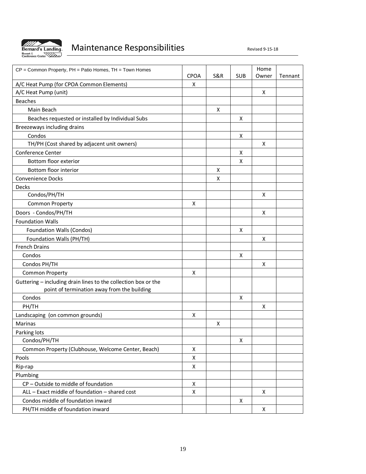

# Maintenance Responsibilities Revised 9-15-18

| CP = Common Property, PH = Patio Homes, TH = Town Homes        |                  | <b>S&amp;R</b> |            | Home<br>Owner      |         |
|----------------------------------------------------------------|------------------|----------------|------------|--------------------|---------|
| A/C Heat Pump (for CPOA Common Elements)                       | <b>CPOA</b><br>X |                | <b>SUB</b> |                    | Tennant |
| A/C Heat Pump (unit)                                           |                  |                |            | X                  |         |
| <b>Beaches</b>                                                 |                  |                |            |                    |         |
| Main Beach                                                     |                  | X              |            |                    |         |
|                                                                |                  |                |            |                    |         |
| Beaches requested or installed by Individual Subs              |                  |                | Χ          |                    |         |
| Breezeways including drains                                    |                  |                |            |                    |         |
| Condos                                                         |                  |                | Χ          |                    |         |
| TH/PH (Cost shared by adjacent unit owners)                    |                  |                |            | X                  |         |
| Conference Center                                              |                  |                | Χ          |                    |         |
| Bottom floor exterior                                          |                  |                | X          |                    |         |
| Bottom floor interior                                          |                  | X              |            |                    |         |
| <b>Convenience Docks</b>                                       |                  | X              |            |                    |         |
| Decks                                                          |                  |                |            |                    |         |
| Condos/PH/TH                                                   |                  |                |            | X                  |         |
| Common Property                                                | $\mathsf{X}$     |                |            |                    |         |
| Doors - Condos/PH/TH                                           |                  |                |            | Χ                  |         |
| <b>Foundation Walls</b>                                        |                  |                |            |                    |         |
| Foundation Walls (Condos)                                      |                  |                | Х          |                    |         |
| Foundation Walls (PH/TH)                                       |                  |                |            | X                  |         |
| <b>French Drains</b>                                           |                  |                |            |                    |         |
| Condos                                                         |                  |                | х          |                    |         |
| Condos PH/TH                                                   |                  |                |            | X                  |         |
| Common Property                                                | X                |                |            |                    |         |
| Guttering - including drain lines to the collection box or the |                  |                |            |                    |         |
| point of termination away from the building                    |                  |                |            |                    |         |
| Condos                                                         |                  |                | X          |                    |         |
| PH/TH                                                          |                  |                |            | X                  |         |
| Landscaping (on common grounds)                                | X                |                |            |                    |         |
| Marinas                                                        |                  | x              |            |                    |         |
| Parking lots                                                   |                  |                |            |                    |         |
| Condos/PH/TH                                                   |                  |                | X          |                    |         |
| Common Property (Clubhouse, Welcome Center, Beach)             | X                |                |            |                    |         |
| Pools                                                          | Χ                |                |            |                    |         |
| Rip-rap                                                        | X                |                |            |                    |         |
| Plumbing                                                       |                  |                |            |                    |         |
| CP - Outside to middle of foundation                           | X                |                |            |                    |         |
| ALL - Exact middle of foundation - shared cost                 | X                |                |            | X                  |         |
| Condos middle of foundation inward                             |                  |                | X          |                    |         |
| PH/TH middle of foundation inward                              |                  |                |            | $\pmb{\mathsf{X}}$ |         |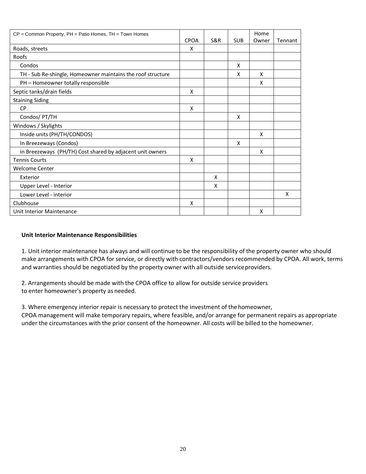| CP = Common Property, PH = Patio Homes, TH = Town Homes     |             |     |            | Home  |         |
|-------------------------------------------------------------|-------------|-----|------------|-------|---------|
|                                                             | <b>CPOA</b> | S&R | <b>SUB</b> | Owner | Tennant |
| Roads, streets                                              | X           |     |            |       |         |
| Roofs                                                       |             |     |            |       |         |
| Condos                                                      |             |     | X          |       |         |
| TH - Sub Re-shingle, Homeowner maintains the roof structure |             |     | X          | X     |         |
| PH - Homeowner totally responsible                          |             |     |            | X     |         |
| Septic tanks/drain fields                                   | X           |     |            |       |         |
| <b>Staining Siding</b>                                      |             |     |            |       |         |
| <b>CP</b>                                                   | X           |     |            |       |         |
| Condos/ PT/TH                                               |             |     | X          |       |         |
| Windows / Skylights                                         |             |     |            |       |         |
| Inside units (PH/TH/CONDOS)                                 |             |     |            | X     |         |
| In Breezeways (Condos)                                      |             |     | X          |       |         |
| in Breezeways (PH/TH) Cost shared by adjacent unit owners   |             |     |            | X     |         |
| <b>Tennis Courts</b>                                        | X           |     |            |       |         |
| Welcome Center                                              |             |     |            |       |         |
| Exterior                                                    |             | X   |            |       |         |
| Upper Level - Interior                                      |             | X   |            |       |         |
| Lower Level - interior                                      |             |     |            |       | X       |
| Clubhouse                                                   | X           |     |            |       |         |
| Unit Interior Maintenance                                   |             |     |            | X     |         |

#### **Unit Interior Maintenance Responsibilities**

1. Unit interior maintenance has always and will continue to be the responsibility of the property owner who should make arrangements with CPOA for service, or directly with contractors/vendors recommended by CPOA. All work, terms and warranties should be negotiated by the property owner with all outside serviceproviders.

2. Arrangements should be made with the CPOA office to allow for outside service providers to enter homeowner's property as needed.

3. Where emergency interior repair is necessary to protect the investment of thehomeowner,

CPOA management will make temporary repairs, where feasible, and/or arrange for permanent repairs as appropriate under the circumstances with the prior consent of the homeowner. All costs will be billed to the homeowner.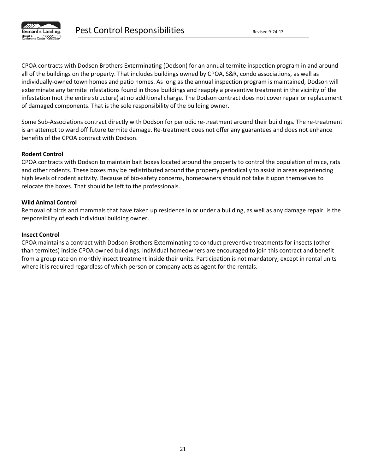

CPOA contracts with Dodson Brothers Exterminating (Dodson) for an annual termite inspection program in and around all of the buildings on the property. That includes buildings owned by CPOA, S&R, condo associations, as well as individually-owned town homes and patio homes. As long as the annual inspection program is maintained, Dodson will exterminate any termite infestations found in those buildings and reapply a preventive treatment in the vicinity of the infestation (not the entire structure) at no additional charge. The Dodson contract does not cover repair or replacement of damaged components. That is the sole responsibility of the building owner.

Some Sub-Associations contract directly with Dodson for periodic re-treatment around their buildings. The re-treatment is an attempt to ward off future termite damage. Re-treatment does not offer any guarantees and does not enhance benefits of the CPOA contract with Dodson.

#### **Rodent Control**

CPOA contracts with Dodson to maintain bait boxes located around the property to control the population of mice, rats and other rodents. These boxes may be redistributed around the property periodically to assist in areas experiencing high levels of rodent activity. Because of bio-safety concerns, homeowners should not take it upon themselves to relocate the boxes. That should be left to the professionals.

#### **Wild Animal Control**

Removal of birds and mammals that have taken up residence in or under a building, as well as any damage repair, is the responsibility of each individual building owner.

#### **Insect Control**

CPOA maintains a contract with Dodson Brothers Exterminating to conduct preventive treatments for insects (other than termites) inside CPOA owned buildings. Individual homeowners are encouraged to join this contract and benefit from a group rate on monthly insect treatment inside their units. Participation is not mandatory, except in rental units where it is required regardless of which person or company acts as agent for the rentals.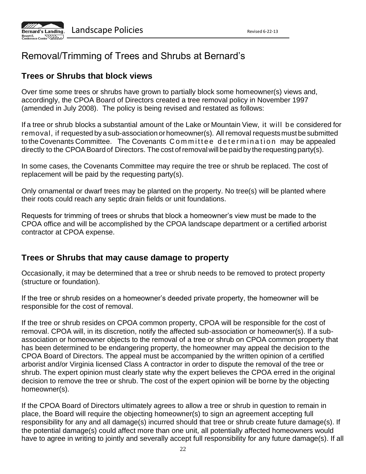

# Removal/Trimming of Trees and Shrubs at Bernard's

# **Trees or Shrubs that block views**

Over time some trees or shrubs have grown to partially block some homeowner(s) views and, accordingly, the CPOA Board of Directors created a tree removal policy in November 1997 (amended in July 2008). The policy is being revised and restated as follows:

If a tree or shrub blocks a substantial amount of the Lake or Mountain View, it will be considered for removal, if requested by a sub-association orhomeowner(s). All removal requestsmust be submitted to the Covenants Committee. The Covenants Committee determination may be appealed directly to the CPOA Board of Directors. The cost of removal will be paid by the requesting party(s).

In some cases, the Covenants Committee may require the tree or shrub be replaced. The cost of replacement will be paid by the requesting party(s).

Only ornamental or dwarf trees may be planted on the property. No tree(s) will be planted where their roots could reach any septic drain fields or unit foundations.

Requests for trimming of trees or shrubs that block a homeowner's view must be made to the CPOA office and will be accomplished by the CPOA landscape department or a certified arborist contractor at CPOA expense.

# **Trees or Shrubs that may cause damage to property**

Occasionally, it may be determined that a tree or shrub needs to be removed to protect property (structure or foundation).

If the tree or shrub resides on a homeowner's deeded private property, the homeowner will be responsible for the cost of removal.

If the tree or shrub resides on CPOA common property, CPOA will be responsible for the cost of removal. CPOA will, in its discretion, notify the affected sub-association or homeowner(s). If a subassociation or homeowner objects to the removal of a tree or shrub on CPOA common property that has been determined to be endangering property, the homeowner may appeal the decision to the CPOA Board of Directors. The appeal must be accompanied by the written opinion of a certified arborist and/or Virginia licensed Class A contractor in order to dispute the removal of the tree or shrub. The expert opinion must clearly state why the expert believes the CPOA erred in the original decision to remove the tree or shrub. The cost of the expert opinion will be borne by the objecting homeowner(s).

If the CPOA Board of Directors ultimately agrees to allow a tree or shrub in question to remain in place, the Board will require the objecting homeowner(s) to sign an agreement accepting full responsibility for any and all damage(s) incurred should that tree or shrub create future damage(s). If the potential damage(s) could affect more than one unit, all potentially affected homeowners would have to agree in writing to jointly and severally accept full responsibility for any future damage(s). If all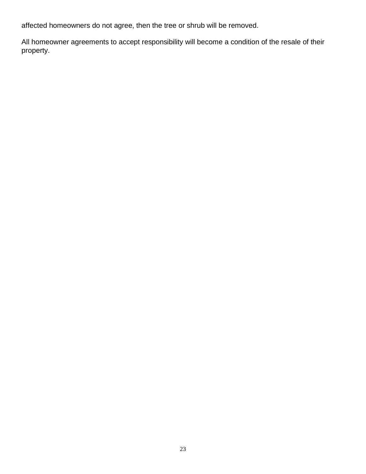affected homeowners do not agree, then the tree or shrub will be removed.

All homeowner agreements to accept responsibility will become a condition of the resale of their property.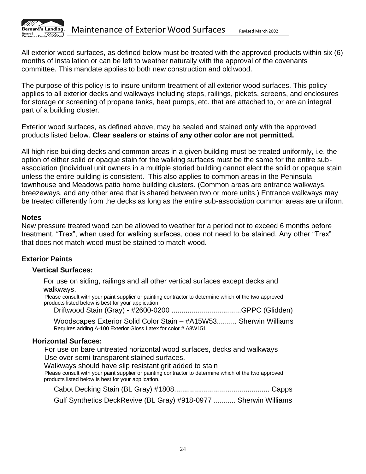

All exterior wood surfaces, as defined below must be treated with the approved products within six (6) months of installation or can be left to weather naturally with the approval of the covenants committee. This mandate applies to both new construction and old wood.

The purpose of this policy is to insure uniform treatment of all exterior wood surfaces. This policy applies to all exterior decks and walkways including steps, railings, pickets, screens, and enclosures for storage or screening of propane tanks, heat pumps, etc. that are attached to, or are an integral part of a building cluster.

Exterior wood surfaces, as defined above, may be sealed and stained only with the approved products listed below. **Clear sealers or stains of any other color are not permitted.**

All high rise building decks and common areas in a given building must be treated uniformly, i.e. the option of either solid or opaque stain for the walking surfaces must be the same for the entire subassociation (Individual unit owners in a multiple storied building cannot elect the solid or opaque stain unless the entire building is consistent. This also applies to common areas in the Peninsula townhouse and Meadows patio home building clusters. (Common areas are entrance walkways, breezeways, and any other area that is shared between two or more units.) Entrance walkways may be treated differently from the decks as long as the entire sub-association common areas are uniform.

#### **Notes**

New pressure treated wood can be allowed to weather for a period not to exceed 6 months before treatment. "Trex", when used for walking surfaces, does not need to be stained. Any other "Trex" that does not match wood must be stained to match wood.

# **Exterior Paints**

#### **Vertical Surfaces:**

For use on siding, railings and all other vertical surfaces except decks and walkways.

Please consult with your paint supplier or painting contractor to determine which of the two approved products listed below is best for your application.

Driftwood Stain (Gray) - #2600-0200 ...................................GPPC (Glidden)

Woodscapes Exterior Solid Color Stain – #A15W53.......... Sherwin Williams Requires adding A-100 Exterior Gloss Latex for color # A8W151

#### **Horizontal Surfaces:**

For use on bare untreated horizontal wood surfaces, decks and walkways Use over semi-transparent stained surfaces.

Walkways should have slip resistant grit added to stain Please consult with your paint supplier or painting contractor to determine which of the two approved products listed below is best for your application.

Cabot Decking Stain (BL Gray) #1808................................................ Capps Gulf Synthetics DeckRevive (BL Gray) #918-0977 ........... Sherwin Williams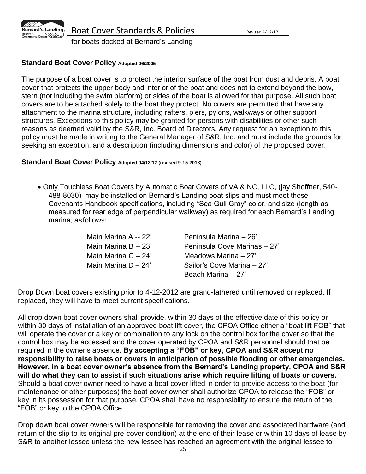

for boats docked at Bernard's Landing

### **Standard Boat Cover Policy Adopted 06/2005**

The purpose of a boat cover is to protect the interior surface of the boat from dust and debris. A boat cover that protects the upper body and interior of the boat and does not to extend beyond the bow, stern (not including the swim platform) or sides of the boat is allowed for that purpose. All such boat covers are to be attached solely to the boat they protect. No covers are permitted that have any attachment to the marina structure, including rafters, piers, pylons, walkways or other support structures. Exceptions to this policy may be granted for persons with disabilities or other such reasons as deemed valid by the S&R, Inc. Board of Directors. Any request for an exception to this policy must be made in writing to the General Manager of S&R, Inc. and must include the grounds for seeking an exception, and a description (including dimensions and color) of the proposed cover.

#### **Standard Boat Cover Policy Adopted 04/12/12 (revised 9-15-2018)**

• Only Touchless Boat Covers by Automatic Boat Covers of VA & NC, LLC, (jay Shoffner, 540- 488-8030) may be installed on Bernard's Landing boat slips and must meet these Covenants Handbook specifications, including "Sea Gull Gray" color, and size (length as measured for rear edge of perpendicular walkway) as required for each Bernard's Landing marina, asfollows:

| Main Marina A -- 22' | Peninsula Marina - 26'       |
|----------------------|------------------------------|
| Main Marina B - 23'  | Peninsula Cove Marinas - 27' |
| Main Marina C - 24'  | Meadows Marina $-27$         |
| Main Marina D – 24'  | Sailor's Cove Marina - 27'   |
|                      | Beach Marina - 27'           |

Drop Down boat covers existing prior to 4-12-2012 are grand-fathered until removed or replaced. If replaced, they will have to meet current specifications.

All drop down boat cover owners shall provide, within 30 days of the effective date of this policy or within 30 days of installation of an approved boat lift cover, the CPOA Office either a "boat lift FOB" that will operate the cover or a key or combination to any lock on the control box for the cover so that the control box may be accessed and the cover operated by CPOA and S&R personnel should that be required in the owner's absence. **By accepting a "FOB" or key, CPOA and S&R accept no responsibility to raise boats or covers in anticipation of possible flooding or other emergencies. However, in a boat cover owner's absence from the Bernard's Landing property, CPOA and S&R will do what they can to assist if such situations arise which require lifting of boats or covers.** Should a boat cover owner need to have a boat cover lifted in order to provide access to the boat (for maintenance or other purposes) the boat cover owner shall authorize CPOA to release the "FOB" or key in its possession for that purpose. CPOA shall have no responsibility to ensure the return of the "FOB" or key to the CPOA Office.

Drop down boat cover owners will be responsible for removing the cover and associated hardware (and return of the slip to its original pre-cover condition) at the end of their lease or within 10 days of lease by S&R to another lessee unless the new lessee has reached an agreement with the original lessee to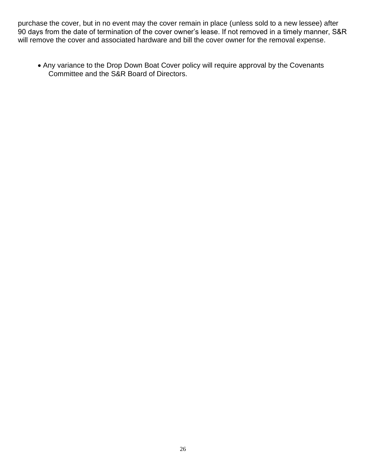purchase the cover, but in no event may the cover remain in place (unless sold to a new lessee) after 90 days from the date of termination of the cover owner's lease. If not removed in a timely manner, S&R will remove the cover and associated hardware and bill the cover owner for the removal expense.

• Any variance to the Drop Down Boat Cover policy will require approval by the Covenants Committee and the S&R Board of Directors.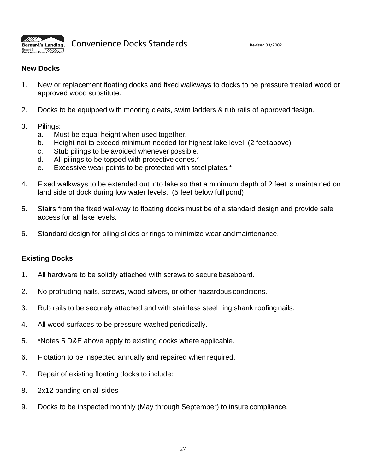

# **New Docks**

- 1. New or replacement floating docks and fixed walkways to docks to be pressure treated wood or approved wood substitute.
- 2. Docks to be equipped with mooring cleats, swim ladders & rub rails of approved design.
- 3. Pilings:
	- a. Must be equal height when used together.
	- b. Height not to exceed minimum needed for highest lake level. (2 feetabove)
	- c. Stub pilings to be avoided whenever possible.
	- d. All pilings to be topped with protective cones.\*
	- e. Excessive wear points to be protected with steel plates.\*
- 4. Fixed walkways to be extended out into lake so that a minimum depth of 2 feet is maintained on land side of dock during low water levels. (5 feet below full pond)
- 5. Stairs from the fixed walkway to floating docks must be of a standard design and provide safe access for all lake levels.
- 6. Standard design for piling slides or rings to minimize wear andmaintenance.

#### **Existing Docks**

- 1. All hardware to be solidly attached with screws to secure baseboard.
- 2. No protruding nails, screws, wood silvers, or other hazardous conditions.
- 3. Rub rails to be securely attached and with stainless steel ring shank roofing nails.
- 4. All wood surfaces to be pressure washed periodically.
- 5. \*Notes 5 D&E above apply to existing docks where applicable.
- 6. Flotation to be inspected annually and repaired when required.
- 7. Repair of existing floating docks to include:
- 8. 2x12 banding on all sides
- 9. Docks to be inspected monthly (May through September) to insure compliance.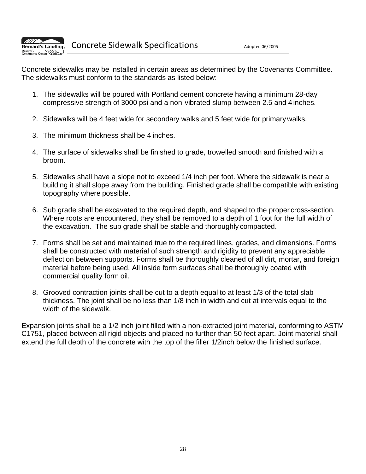

Concrete sidewalks may be installed in certain areas as determined by the Covenants Committee. The sidewalks must conform to the standards as listed below:

- 1. The sidewalks will be poured with Portland cement concrete having a minimum 28-day compressive strength of 3000 psi and a non-vibrated slump between 2.5 and 4 inches.
- 2. Sidewalks will be 4 feet wide for secondary walks and 5 feet wide for primarywalks.
- 3. The minimum thickness shall be 4 inches.
- 4. The surface of sidewalks shall be finished to grade, trowelled smooth and finished with a broom.
- 5. Sidewalks shall have a slope not to exceed 1/4 inch per foot. Where the sidewalk is near a building it shall slope away from the building. Finished grade shall be compatible with existing topography where possible.
- 6. Sub grade shall be excavated to the required depth, and shaped to the proper cross-section. Where roots are encountered, they shall be removed to a depth of 1 foot for the full width of the excavation. The sub grade shall be stable and thoroughly compacted.
- 7. Forms shall be set and maintained true to the required lines, grades, and dimensions. Forms shall be constructed with material of such strength and rigidity to prevent any appreciable deflection between supports. Forms shall be thoroughly cleaned of all dirt, mortar, and foreign material before being used. All inside form surfaces shall be thoroughly coated with commercial quality form oil.
- 8. Grooved contraction joints shall be cut to a depth equal to at least 1/3 of the total slab thickness. The joint shall be no less than 1/8 inch in width and cut at intervals equal to the width of the sidewalk.

Expansion joints shall be a 1/2 inch joint filled with a non-extracted joint material, conforming to ASTM C1751, placed between all rigid objects and placed no further than 50 feet apart. Joint material shall extend the full depth of the concrete with the top of the filler 1/2inch below the finished surface.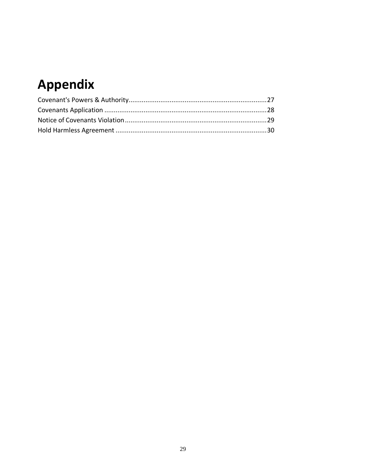# **Appendix**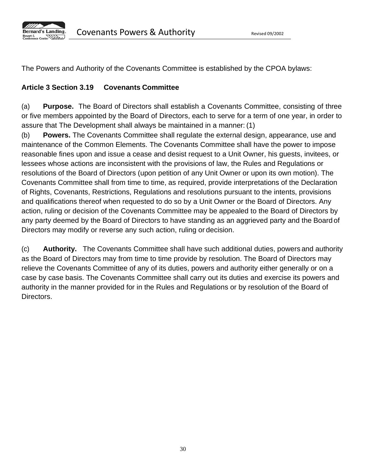

The Powers and Authority of the Covenants Committee is established by the CPOA bylaws:

# **Article 3 Section 3.19 Covenants Committee**

(a) **Purpose.** The Board of Directors shall establish a Covenants Committee, consisting of three or five members appointed by the Board of Directors, each to serve for a term of one year, in order to assure that The Development shall always be maintained in a manner: (1)

(b) **Powers.** The Covenants Committee shall regulate the external design, appearance, use and maintenance of the Common Elements. The Covenants Committee shall have the power to impose reasonable fines upon and issue a cease and desist request to a Unit Owner, his guests, invitees, or lessees whose actions are inconsistent with the provisions of law, the Rules and Regulations or resolutions of the Board of Directors (upon petition of any Unit Owner or upon its own motion). The Covenants Committee shall from time to time, as required, provide interpretations of the Declaration of Rights, Covenants, Restrictions, Regulations and resolutions pursuant to the intents, provisions and qualifications thereof when requested to do so by a Unit Owner or the Board of Directors. Any action, ruling or decision of the Covenants Committee may be appealed to the Board of Directors by any party deemed by the Board of Directors to have standing as an aggrieved party and the Board of Directors may modify or reverse any such action, ruling or decision.

(c) **Authority.** The Covenants Committee shall have such additional duties, powers and authority as the Board of Directors may from time to time provide by resolution. The Board of Directors may relieve the Covenants Committee of any of its duties, powers and authority either generally or on a case by case basis. The Covenants Committee shall carry out its duties and exercise its powers and authority in the manner provided for in the Rules and Regulations or by resolution of the Board of Directors.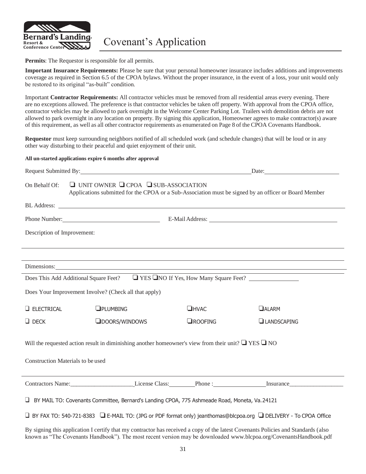

<span id="page-30-0"></span>Covenant's Application

**Permits**: The Requestor is responsible for all permits.

**Important Insurance Requirements:** Please be sure that your personal homeowner insurance includes additions and improvements coverage as required in Section 6.5 of the CPOA bylaws. Without the proper insurance, in the event of a loss, your unit would only be restored to its original "as-built" condition.

Important **Contractor Requirements:** All contractor vehicles must be removed from all residential areas every evening. There are no exceptions allowed. The preference is that contractor vehicles be taken off property. With approval from the CPOA office, contractor vehicles may be allowed to park overnight in the Welcome Center Parking Lot. Trailers with demolition debris are not allowed to park overnight in any location on property. By signing this application, Homeowner agrees to make contractor(s) aware of this requirement, as well as all other contractor requirements as enumerated on Page 8 of the CPOA Covenants Handbook.

**Requestor** must keep surrounding neighbors notified of all scheduled work (and schedule changes) that will be loud or in any other way disturbing to their peaceful and quiet enjoyment of their unit.

**All un-started applications expire 6 months after approval**

| Request Submitted By: North Communication of the Communication of the Communication of the Communication of the Communication of the Communication of the Communication of the Communication of the Communication of the Commu |                                                                                                                                                                                                                                      |                  | Date: 2008                                                   |  |
|--------------------------------------------------------------------------------------------------------------------------------------------------------------------------------------------------------------------------------|--------------------------------------------------------------------------------------------------------------------------------------------------------------------------------------------------------------------------------------|------------------|--------------------------------------------------------------|--|
| On Behalf Of:                                                                                                                                                                                                                  | $\Box$ UNIT OWNER $\Box$ CPOA $\Box$ SUB-ASSOCIATION<br>Applications submitted for the CPOA or a Sub-Association must be signed by an officer or Board Member                                                                        |                  |                                                              |  |
|                                                                                                                                                                                                                                | BL Address: <u>The Community of the Community of the Community of the Community of the Community of the Community of the Community of the Community of the Community of the Community of the Community of the Community of the C</u> |                  |                                                              |  |
|                                                                                                                                                                                                                                | Phone Number: E-Mail Address: E-Mail Address:                                                                                                                                                                                        |                  |                                                              |  |
| Description of Improvement:                                                                                                                                                                                                    |                                                                                                                                                                                                                                      |                  |                                                              |  |
|                                                                                                                                                                                                                                |                                                                                                                                                                                                                                      |                  |                                                              |  |
|                                                                                                                                                                                                                                | ,我们也不会有什么。""我们的人,我们也不会有什么?""我们的人,我们也不会有什么?""我们的人,我们也不会有什么?""我们的人,我们也不会有什么?""我们的人                                                                                                                                                     |                  |                                                              |  |
|                                                                                                                                                                                                                                | Dimensions:                                                                                                                                                                                                                          |                  |                                                              |  |
|                                                                                                                                                                                                                                | Does This Add Additional Square Feet? $\Box$ YES $\Box$ NO If Yes, How Many Square Feet?                                                                                                                                             |                  |                                                              |  |
|                                                                                                                                                                                                                                | Does Your Improvement Involve? (Check all that apply)                                                                                                                                                                                |                  |                                                              |  |
| <b>L</b> ELECTRICAL                                                                                                                                                                                                            | OPLUMBING                                                                                                                                                                                                                            | $\Box$ HVAC      | $\Box$ ALARM                                                 |  |
| $\Box$ DECK                                                                                                                                                                                                                    | <b>ODOORS/WINDOWS</b>                                                                                                                                                                                                                | <b>E</b> ROOFING | <b>LANDSCAPING</b>                                           |  |
| Will the requested action result in diminishing another homeowner's view from their unit? $\Box$ YES $\Box$ NO<br>Construction Materials to be used                                                                            |                                                                                                                                                                                                                                      |                  |                                                              |  |
|                                                                                                                                                                                                                                |                                                                                                                                                                                                                                      |                  | Contractors Name: License Class: Phone : Insurance Insurance |  |
|                                                                                                                                                                                                                                | □ BY MAIL TO: Covenants Committee, Bernard's Landing CPOA, 775 Ashmeade Road, Moneta, Va. 24121                                                                                                                                      |                  |                                                              |  |
|                                                                                                                                                                                                                                | □ BY FAX TO: 540-721-8383 □ E-MAIL TO: (JPG or PDF format only) jeanthomas@blcpoa.org □ DELIVERY - To CPOA Office                                                                                                                    |                  |                                                              |  |

By signing this application I certify that my contractor has received a copy of the latest Covenants Policies and Standards (also known as "The Covenants Handbook"). The most recent version may be downloaded [www.blcpoa.org/CovenantsHandbook.pdf](http://www.blcpoa.org/CovenantsHandbook.pdf)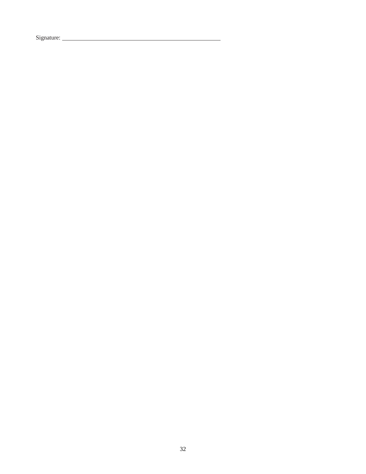Signature: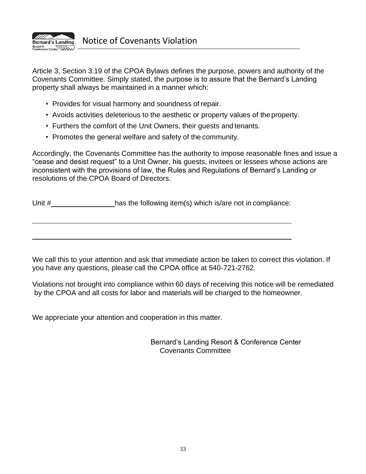<span id="page-32-0"></span>

Article 3, Section 3.19 of the CPOA Bylaws defines the purpose, powers and authority of the Covenants Committee. Simply stated, the purpose is to assure that the Bernard's Landing property shall always be maintained in a manner which:

- Provides for visual harmony and soundness of repair.
- Avoids activities deleterious to the aesthetic or property values of the property.
- Furthers the comfort of the Unit Owners, their guests and tenants.
- Promotes the general welfare and safety of the community.

Accordingly, the Covenants Committee has the authority to impose reasonable fines and issue a "cease and desist request" to a Unit Owner, his guests, invitees or lessees whose actions are inconsistent with the provisions of law, the Rules and Regulations of Bernard's Landing or resolutions of the CPOA Board of Directors.

Unit # has the following item(s) which is/are not in compliance:

We call this to your attention and ask that immediate action be taken to correct this violation. If you have any questions, please call the CPOA office at 540-721-2762.

Violations not brought into compliance within 60 days of receiving this notice will be remediated by the CPOA and all costs for labor and materials will be charged to the homeowner.

We appreciate your attention and cooperation in this matter.

Bernard's Landing Resort & Conference Center Covenants Committee